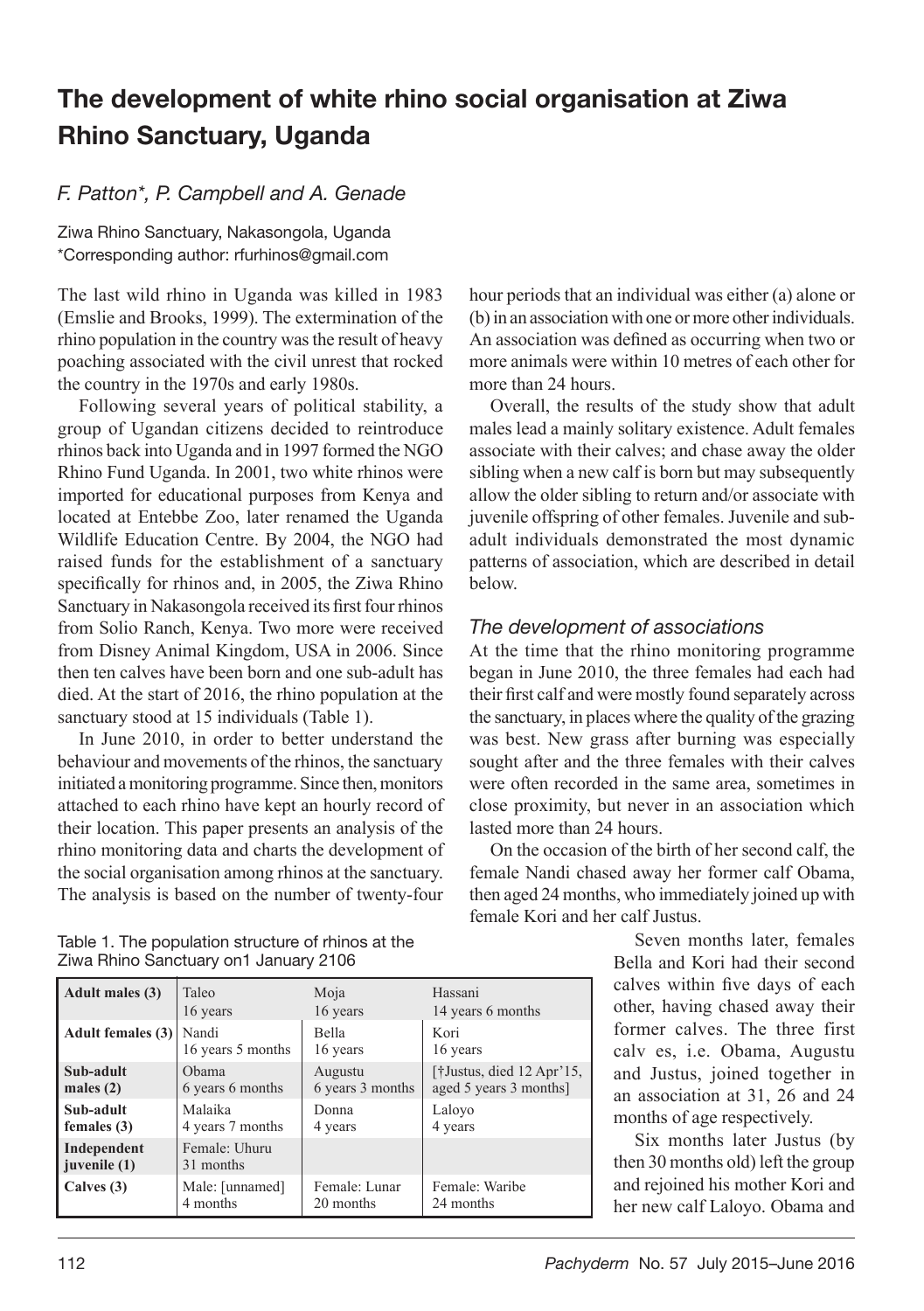## The development of white rhino social organisation at Ziwa Rhino Sanctuary, Uganda

## *F. Patton\*, P. Campbell and A. Genade*

Ziwa Rhino Sanctuary, Nakasongola, Uganda \*Corresponding author: rfurhinos@gmail.com

The last wild rhino in Uganda was killed in 1983 (Emslie and Brooks, 1999). The extermination of the rhino population in the country was the result of heavy poaching associated with the civil unrest that rocked the country in the 1970s and early 1980s.

Following several years of political stability, a group of Ugandan citizens decided to reintroduce rhinos back into Uganda and in 1997 formed the NGO Rhino Fund Uganda. In 2001, two white rhinos were imported for educational purposes from Kenya and located at Entebbe Zoo, later renamed the Uganda Wildlife Education Centre. By 2004, the NGO had raised funds for the establishment of a sanctuary specifically for rhinos and, in 2005, the Ziwa Rhino Sanctuary in Nakasongola received its first four rhinos from Solio Ranch, Kenya. Two more were received from Disney Animal Kingdom, USA in 2006. Since then ten calves have been born and one sub-adult has died. At the start of 2016, the rhino population at the sanctuary stood at 15 individuals (Table 1).

In June 2010, in order to better understand the behaviour and movements of the rhinos, the sanctuary initiated a monitoring programme. Since then, monitors attached to each rhino have kept an hourly record of their location. This paper presents an analysis of the rhino monitoring data and charts the development of the social organisation among rhinos at the sanctuary. The analysis is based on the number of twenty-four

hour periods that an individual was either (a) alone or (b) in an association with one or more other individuals. An association was defined as occurring when two or more animals were within 10 metres of each other for more than 24 hours.

Overall, the results of the study show that adult males lead a mainly solitary existence. Adult females associate with their calves; and chase away the older sibling when a new calf is born but may subsequently allow the older sibling to return and/or associate with juvenile offspring of other females. Juvenile and subadult individuals demonstrated the most dynamic patterns of association, which are described in detail below.

## *The development of associations*

At the time that the rhino monitoring programme began in June 2010, the three females had each had their first calf and were mostly found separately across the sanctuary, in places where the quality of the grazing was best. New grass after burning was especially sought after and the three females with their calves were often recorded in the same area, sometimes in close proximity, but never in an association which lasted more than 24 hours.

On the occasion of the birth of her second calf, the female Nandi chased away her former calf Obama, then aged 24 months, who immediately joined up with female Kori and her calf Justus.

> Seven months later, females Bella and Kori had their second calves within five days of each other, having chased away their former calves. The three first calv es, i.e. Obama, Augustu and Justus, joined together in an association at 31, 26 and 24 months of age respectively.

> Six months later Justus (by then 30 months old) left the group and rejoined his mother Kori and her new calf Laloyo. Obama and

| Table 1. The population structure of rhinos at the |  |
|----------------------------------------------------|--|
| Ziwa Rhino Sanctuary on1 January 2106              |  |

| Adult males (3)             | Taleo                      | Moja             | Hassani                                          |
|-----------------------------|----------------------------|------------------|--------------------------------------------------|
|                             | 16 years                   | 16 years         | 14 years 6 months                                |
| <b>Adult females (3)</b>    | Nandi                      | <b>Bella</b>     | Kori                                             |
|                             | 16 years 5 months          | 16 years         | 16 years                                         |
| Sub-adult                   | Obama                      | Augustu          | [ $\dagger$ Justus, died 12 Apr <sup>3</sup> 15, |
| males $(2)$                 | 6 years 6 months           | 6 years 3 months | aged 5 years 3 months]                           |
| Sub-adult                   | Malaika                    | Donna            | Laloyo                                           |
| females $(3)$               | 4 years 7 months           | 4 years          | 4 years                                          |
| Independent<br>juvenile (1) | Female: Uhuru<br>31 months |                  |                                                  |
| Calves (3)                  | Male: [unnamed]            | Female: Lunar    | Female: Waribe                                   |
|                             | 4 months                   | 20 months        | 24 months                                        |